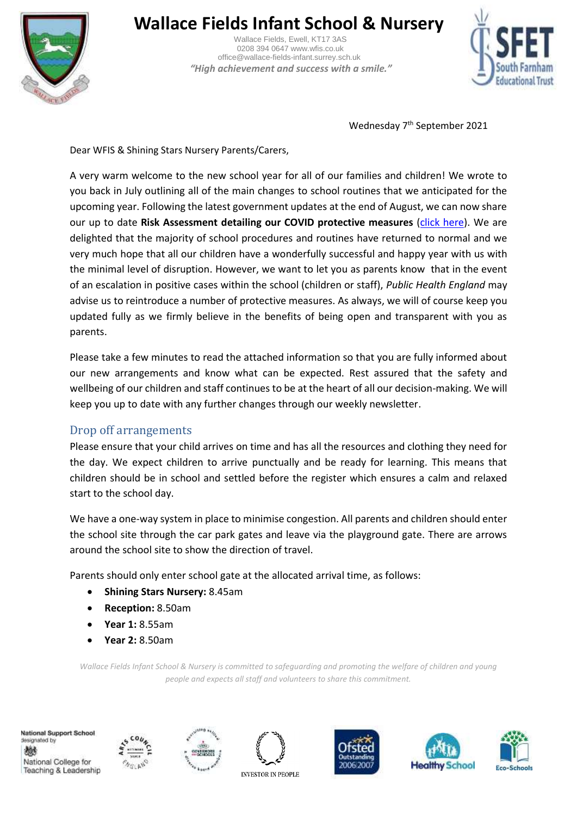

# **Wallace Fields Infant School & Nursery**

 Wallace Fields, Ewell, KT17 3AS 0208 394 0647 www.wfis.co.uk office@wallace-fields-infant.surrey.sch.uk  *"High achievement and success with a smile."*



Wednesday 7<sup>th</sup> September 2021

Dear WFIS & Shining Stars Nursery Parents/Carers,

A very warm welcome to the new school year for all of our families and children! We wrote to you back in July outlining all of the main changes to school routines that we anticipated for the upcoming year. Following the latest government updates at the end of August, we can now share our up to date **Risk Assessment detailing our COVID protective measures** [\(click here\)](https://wallacefieldsinfant-my.sharepoint.com/:b:/g/personal/collette_pasley_wallace-fields-infant_surrey_sch_uk/EWwAhAuj4kdEqE0nc8mRUasBBrVTrHf9nO9LMkArkFT25A?e=Xhkqmf). We are delighted that the majority of school procedures and routines have returned to normal and we very much hope that all our children have a wonderfully successful and happy year with us with the minimal level of disruption. However, we want to let you as parents know that in the event of an escalation in positive cases within the school (children or staff), *Public Health England* may advise us to reintroduce a number of protective measures. As always, we will of course keep you updated fully as we firmly believe in the benefits of being open and transparent with you as parents.

Please take a few minutes to read the attached information so that you are fully informed about our new arrangements and know what can be expected. Rest assured that the safety and wellbeing of our children and staff continues to be at the heart of all our decision-making. We will keep you up to date with any further changes through our weekly newsletter.

## Drop off arrangements

Please ensure that your child arrives on time and has all the resources and clothing they need for the day. We expect children to arrive punctually and be ready for learning. This means that children should be in school and settled before the register which ensures a calm and relaxed start to the school day.

We have a one-way system in place to minimise congestion. All parents and children should enter the school site through the car park gates and leave via the playground gate. There are arrows around the school site to show the direction of travel.

Parents should only enter school gate at the allocated arrival time, as follows:

- **Shining Stars Nursery:** 8.45am
- **Reception:** 8.50am
- **Year 1:** 8.55am
- **Year 2:** 8.50am

*Wallace Fields Infant School & Nursery is committed to safeguarding and promoting the welfare of children and young people and expects all staff and volunteers to share this commitment.*

National Support School designated by 戀 National College for Teaching & Leadership











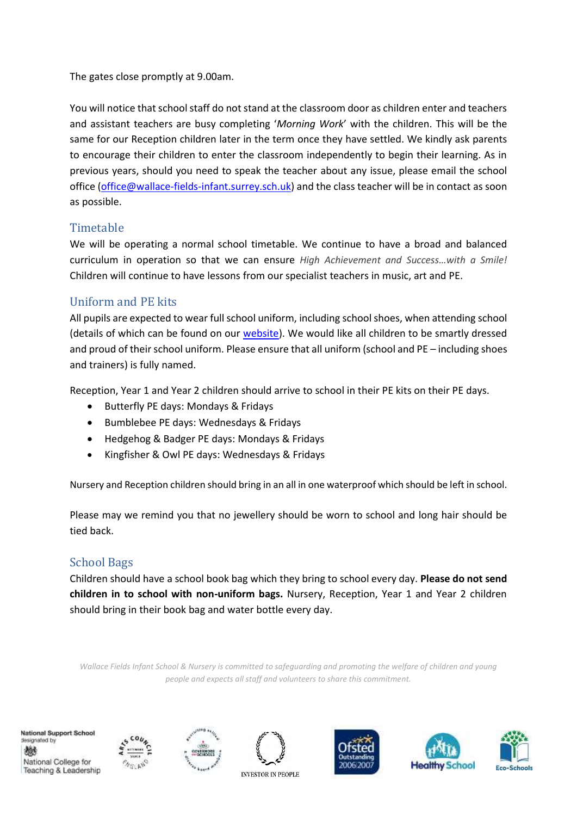The gates close promptly at 9.00am.

You will notice that school staff do not stand at the classroom door as children enter and teachers and assistant teachers are busy completing '*Morning Work*' with the children. This will be the same for our Reception children later in the term once they have settled. We kindly ask parents to encourage their children to enter the classroom independently to begin their learning. As in previous years, should you need to speak the teacher about any issue, please email the school office [\(office@wallace-fields-infant.surrey.sch.uk\)](mailto:office@wallace-fields-infant.surrey.sch.uk) and the class teacher will be in contact as soon as possible.

## Timetable

We will be operating a normal school timetable. We continue to have a broad and balanced curriculum in operation so that we can ensure *High Achievement and Success…with a Smile!* Children will continue to have lessons from our specialist teachers in music, art and PE.

## Uniform and PE kits

All pupils are expected to wear full school uniform, including school shoes, when attending school (details of which can be found on our [website\)](https://www.wallacefieldsinfantschool.co.uk/parents/uniform). We would like all children to be smartly dressed and proud of their school uniform. Please ensure that all uniform (school and PE – including shoes and trainers) is fully named.

Reception, Year 1 and Year 2 children should arrive to school in their PE kits on their PE days.

- Butterfly PE days: Mondays & Fridays
- **•** Bumblebee PE days: Wednesdays & Fridays
- Hedgehog & Badger PE days: Mondays & Fridays
- Kingfisher & Owl PE days: Wednesdays & Fridays

Nursery and Reception children should bring in an all in one waterproof which should be left in school.

Please may we remind you that no jewellery should be worn to school and long hair should be tied back.

## School Bags

Children should have a school book bag which they bring to school every day. **Please do not send children in to school with non-uniform bags.** Nursery, Reception, Year 1 and Year 2 children should bring in their book bag and water bottle every day.

*Wallace Fields Infant School & Nursery is committed to safeguarding and promoting the welfare of children and young people and expects all staff and volunteers to share this commitment.*

National Support School designated by 燃 National College for Teaching & Leadership











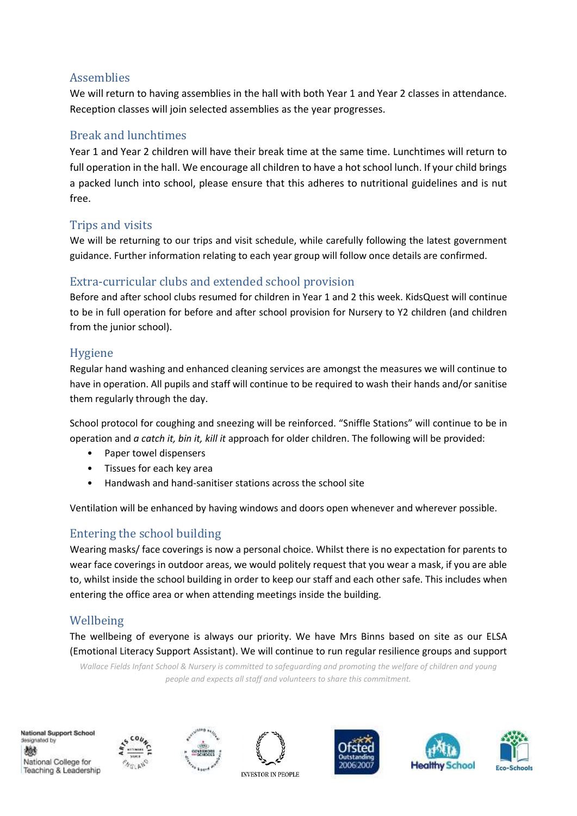## Assemblies

We will return to having assemblies in the hall with both Year 1 and Year 2 classes in attendance. Reception classes will join selected assemblies as the year progresses.

## Break and lunchtimes

Year 1 and Year 2 children will have their break time at the same time. Lunchtimes will return to full operation in the hall. We encourage all children to have a hot school lunch. If your child brings a packed lunch into school, please ensure that this adheres to nutritional guidelines and is nut free.

## Trips and visits

We will be returning to our trips and visit schedule, while carefully following the latest government guidance. Further information relating to each year group will follow once details are confirmed.

# Extra-curricular clubs and extended school provision

Before and after school clubs resumed for children in Year 1 and 2 this week. KidsQuest will continue to be in full operation for before and after school provision for Nursery to Y2 children (and children from the junior school).

## Hygiene

Regular hand washing and enhanced cleaning services are amongst the measures we will continue to have in operation. All pupils and staff will continue to be required to wash their hands and/or sanitise them regularly through the day.

School protocol for coughing and sneezing will be reinforced. "Sniffle Stations" will continue to be in operation and *a catch it, bin it, kill it* approach for older children. The following will be provided:

- Paper towel dispensers
- Tissues for each key area
- Handwash and hand-sanitiser stations across the school site

Ventilation will be enhanced by having windows and doors open whenever and wherever possible.

# Entering the school building

Wearing masks/ face coverings is now a personal choice. Whilst there is no expectation for parents to wear face coverings in outdoor areas, we would politely request that you wear a mask, if you are able to, whilst inside the school building in order to keep our staff and each other safe. This includes when entering the office area or when attending meetings inside the building.

# Wellbeing

The wellbeing of everyone is always our priority. We have Mrs Binns based on site as our ELSA (Emotional Literacy Support Assistant). We will continue to run regular resilience groups and support

*Wallace Fields Infant School & Nursery is committed to safeguarding and promoting the welfare of children and young people and expects all staff and volunteers to share this commitment.*

National Support School designated by 戀 National College for Teaching & Leadership











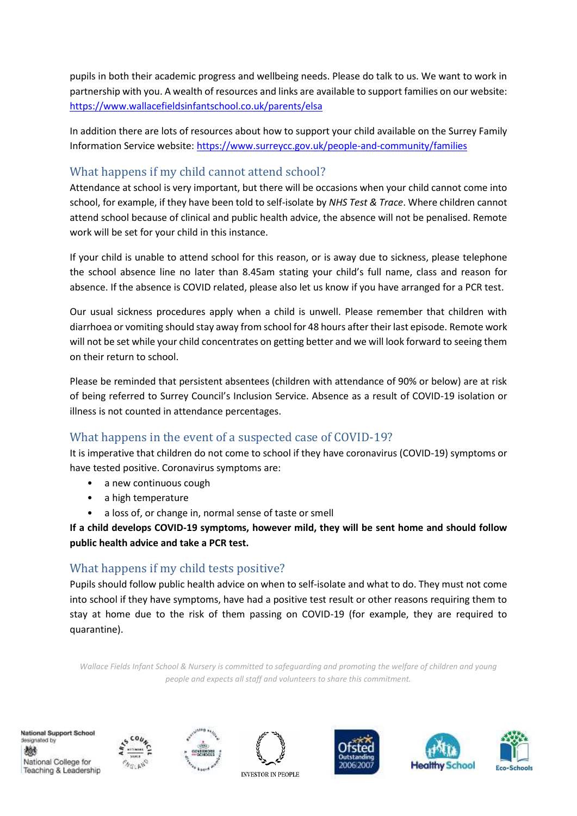pupils in both their academic progress and wellbeing needs. Please do talk to us. We want to work in partnership with you. A wealth of resources and links are available to support families on our website: <https://www.wallacefieldsinfantschool.co.uk/parents/elsa>

In addition there are lots of resources about how to support your child available on the Surrey Family Information Service website:<https://www.surreycc.gov.uk/people-and-community/families>

# What happens if my child cannot attend school?

Attendance at school is very important, but there will be occasions when your child cannot come into school, for example, if they have been told to self-isolate by *NHS Test & Trace*. Where children cannot attend school because of clinical and public health advice, the absence will not be penalised. Remote work will be set for your child in this instance.

If your child is unable to attend school for this reason, or is away due to sickness, please telephone the school absence line no later than 8.45am stating your child's full name, class and reason for absence. If the absence is COVID related, please also let us know if you have arranged for a PCR test.

Our usual sickness procedures apply when a child is unwell. Please remember that children with diarrhoea or vomiting should stay away from school for 48 hours after their last episode. Remote work will not be set while your child concentrates on getting better and we will look forward to seeing them on their return to school.

Please be reminded that persistent absentees (children with attendance of 90% or below) are at risk of being referred to Surrey Council's Inclusion Service. Absence as a result of COVID-19 isolation or illness is not counted in attendance percentages.

# What happens in the event of a suspected case of COVID-19?

It is imperative that children do not come to school if they have coronavirus (COVID-19) symptoms or have tested positive. Coronavirus symptoms are:

- a new continuous cough
- a high temperature
- a loss of, or change in, normal sense of taste or smell

**If a child develops COVID-19 symptoms, however mild, they will be sent home and should follow public health advice and take a PCR test.**

# What happens if my child tests positive?

Pupils should follow public health advice on when to self-isolate and what to do. They must not come into school if they have symptoms, have had a positive test result or other reasons requiring them to stay at home due to the risk of them passing on COVID-19 (for example, they are required to quarantine).

*Wallace Fields Infant School & Nursery is committed to safeguarding and promoting the welfare of children and young people and expects all staff and volunteers to share this commitment.*













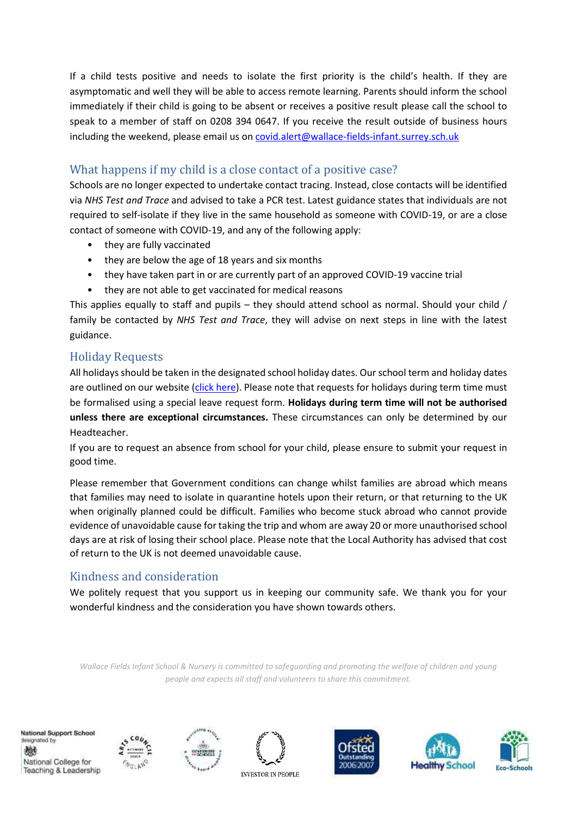If a child tests positive and needs to isolate the first priority is the child's health. If they are asymptomatic and well they will be able to access remote learning. Parents should inform the school immediately if their child is going to be absent or receives a positive result please call the school to speak to a member of staff on 0208 394 0647. If you receive the result outside of business hours including the weekend, please email us o[n covid.alert@wallace-fields-infant.surrey.sch.uk](mailto:covid.alert@wallace-fields-infant.surrey.sch.uk)

# What happens if my child is a close contact of a positive case?

Schools are no longer expected to undertake contact tracing. Instead, close contacts will be identified via *NHS Test and Trace* and advised to take a PCR test. Latest guidance states that individuals are not required to self-isolate if they live in the same household as someone with COVID-19, or are a close contact of someone with COVID-19, and any of the following apply:

- they are fully vaccinated
- they are below the age of 18 years and six months
- they have taken part in or are currently part of an approved COVID-19 vaccine trial
- they are not able to get vaccinated for medical reasons

This applies equally to staff and pupils – they should attend school as normal. Should your child / family be contacted by *NHS Test and Trace*, they will advise on next steps in line with the latest guidance.

## Holiday Requests

All holidays should be taken in the designated school holiday dates. Our school term and holiday dates are outlined on our website [\(click here\)](https://www.wallacefieldsinfantschool.co.uk/news-events/term-dates). Please note that requests for holidays during term time must be formalised using a special leave request form. **Holidays during term time will not be authorised unless there are exceptional circumstances.** These circumstances can only be determined by our Headteacher.

If you are to request an absence from school for your child, please ensure to submit your request in good time.

Please remember that Government conditions can change whilst families are abroad which means that families may need to isolate in quarantine hotels upon their return, or that returning to the UK when originally planned could be difficult. Families who become stuck abroad who cannot provide evidence of unavoidable cause for taking the trip and whom are away 20 or more unauthorised school days are at risk of losing their school place. Please note that the Local Authority has advised that cost of return to the UK is not deemed unavoidable cause.

# Kindness and consideration

We politely request that you support us in keeping our community safe. We thank you for your wonderful kindness and the consideration you have shown towards others.

*Wallace Fields Infant School & Nursery is committed to safeguarding and promoting the welfare of children and young people and expects all staff and volunteers to share this commitment.*

National Support School designated by 燃 National College for Teaching & Leadership